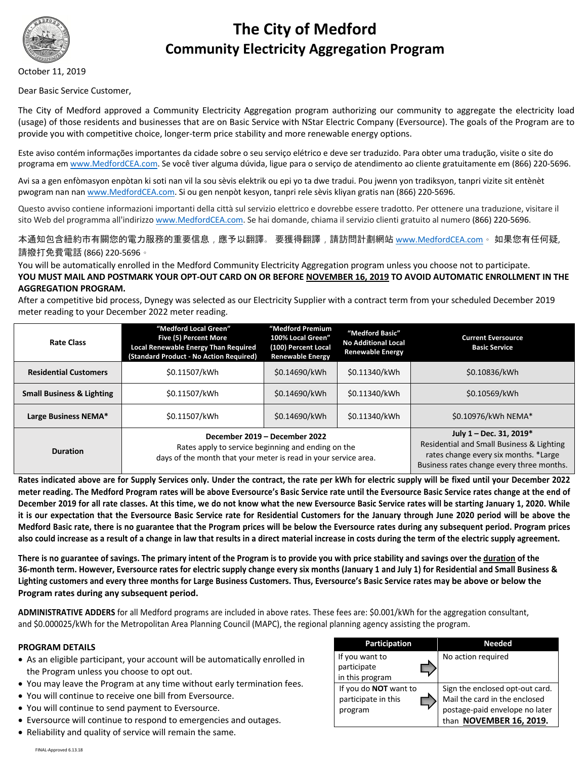

# **The City of Medford Community Electricity Aggregation Program**

October 11, 2019

Dear Basic Service Customer,

The City of Medford approved a Community Electricity Aggregation program authorizing our community to aggregate the electricity load (usage) of those residents and businesses that are on Basic Service with NStar Electric Company (Eversource). The goals of the Program are to provide you with competitive choice, longer-term price stability and more renewable energy options.

Este aviso contém informações importantes da cidade sobre o seu serviço elétrico e deve ser traduzido. Para obter uma tradução, visite o site do programa em www.MedfordCEA.com. Se você tiver alguma dúvida, ligue para o serviço de atendimento ao cliente gratuitamente em (866) 220-5696.

Avi sa a gen enfòmasyon enpòtan ki soti nan vil la sou sèvis elektrik ou epi yo ta dwe tradui. Pou jwenn yon tradiksyon, tanpri vizite sit entènèt pwogram nan nan www.MedfordCEA.com. Si ou gen nenpòt kesyon, tanpri rele sèvis kliyan gratis nan (866) 220-5696.

Questo avviso contiene informazioni importanti della città sul servizio elettrico e dovrebbe essere tradotto. Per ottenere una traduzione, visitare il sito Web del programma all'indirizzo www.MedfordCEA.com. Se hai domande, chiama il servizio clienti gratuito al numero (866) 220-5696.

本通知包含紐約市有關您的電力服務的重要信息,應予以翻譯。 要獲得翻譯,請訪問計劃網站 <u>www.MedfordCEA.com</u> 。如果您有任何疑, 請撥打免費電話 (866) 220-5696。

You will be automatically enrolled in the Medford Community Electricity Aggregation program unless you choose not to participate. **YOU MUST MAIL AND POSTMARK YOUR OPT-OUT CARD ON OR BEFORE NOVEMBER 16, 2019 TO AVOID AUTOMATIC ENROLLMENT IN THE AGGREGATION PROGRAM.**

After a competitive bid process, Dynegy was selected as our Electricity Supplier with a contract term from your scheduled December 2019 meter reading to your December 2022 meter reading.

| <b>Rate Class</b>                    | "Medford Local Green"<br>Five (5) Percent More<br>Local Renewable Energy Than Required<br>(Standard Product - No Action Required)                      | "Medford Premium<br>100% Local Green"<br>(100) Percent Local<br><b>Renewable Energy</b> | "Medford Basic"<br><b>No Additional Local</b><br><b>Renewable Energy</b> | <b>Current Eversource</b><br><b>Basic Service</b>                                                                                                          |
|--------------------------------------|--------------------------------------------------------------------------------------------------------------------------------------------------------|-----------------------------------------------------------------------------------------|--------------------------------------------------------------------------|------------------------------------------------------------------------------------------------------------------------------------------------------------|
| <b>Residential Customers</b>         | \$0.11507/kWh                                                                                                                                          | \$0.14690/kWh                                                                           | \$0.11340/kWh                                                            | \$0.10836/kWh                                                                                                                                              |
| <b>Small Business &amp; Lighting</b> | \$0.11507/kWh                                                                                                                                          | \$0.14690/kWh                                                                           | \$0.11340/kWh                                                            | \$0.10569/kWh                                                                                                                                              |
| Large Business NEMA*                 | \$0.11507/kWh                                                                                                                                          | \$0.14690/kWh                                                                           | \$0.11340/kWh                                                            | \$0.10976/kWh NEMA*                                                                                                                                        |
| <b>Duration</b>                      | December 2019 - December 2022<br>Rates apply to service beginning and ending on the<br>days of the month that your meter is read in your service area. |                                                                                         |                                                                          | July 1 - Dec. 31, 2019*<br>Residential and Small Business & Lighting<br>rates change every six months. *Large<br>Business rates change every three months. |

**Rates indicated above are for Supply Services only. Under the contract, the rate per kWh for electric supply will be fixed until your December 2022 meter reading. The Medford Program rates will be above Eversource's Basic Service rate until the Eversource Basic Service rates change at the end of December 2019 for all rate classes. At this time, we do not know what the new Eversource Basic Service rates will be starting January 1, 2020. While it is our expectation that the Eversource Basic Service rate for Residential Customers for the January through June 2020 period will be above the Medford Basic rate, there is no guarantee that the Program prices will be below the Eversource rates during any subsequent period. Program prices also could increase as a result of a change in law that results in a direct material increase in costs during the term of the electric supply agreement.**

**There is no guarantee of savings. The primary intent of the Program is to provide you with price stability and savings over the duration of the 36-month term. However, Eversource rates for electric supply change every six months (January 1 and July 1) for Residential and Small Business & Lighting customers and every three months for Large Business Customers. Thus, Eversource's Basic Service rates may be above or below the Program rates during any subsequent period.**

**ADMINISTRATIVE ADDERS** for all Medford programs are included in above rates. These fees are: \$0.001/kWh for the aggregation consultant, and \$0.000025/kWh for the Metropolitan Area Planning Council (MAPC), the regional planning agency assisting the program.

## **PROGRAM DETAILS**

- As an eligible participant, your account will be automatically enrolled in the Program unless you choose to opt out.
- You may leave the Program at any time without early termination fees.
- You will continue to receive one bill from Eversource.
- You will continue to send payment to Eversource.
- Eversource will continue to respond to emergencies and outages.
- Reliability and quality of service will remain the same.

| Participation                                           | <b>Needed</b>                                                                                                                 |  |  |
|---------------------------------------------------------|-------------------------------------------------------------------------------------------------------------------------------|--|--|
| If you want to<br>participate<br>in this program        | No action required                                                                                                            |  |  |
| If you do NOT want to<br>participate in this<br>program | Sign the enclosed opt-out card.<br>Mail the card in the enclosed<br>postage-paid envelope no later<br>than NOVEMBER 16, 2019. |  |  |